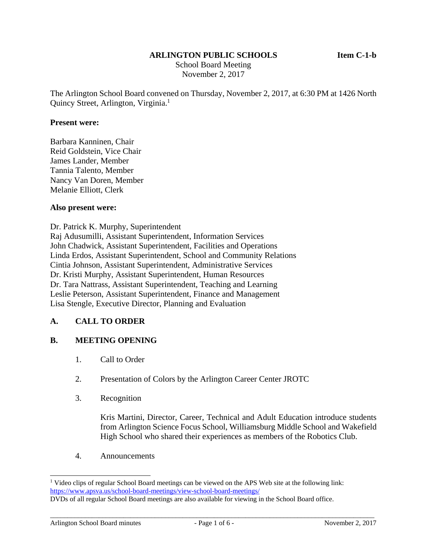### **ARLINGTON PUBLIC SCHOOLS Item C-1-b**

 School Board Meeting November 2, 2017

The Arlington School Board convened on Thursday, November 2, 2017, at 6:30 PM at 1426 North Quincy Street, Arlington, Virginia.<sup>1</sup>

#### **Present were:**

Barbara Kanninen, Chair Reid Goldstein, Vice Chair James Lander, Member Tannia Talento, Member Nancy Van Doren, Member Melanie Elliott, Clerk

#### **Also present were:**

Dr. Patrick K. Murphy, Superintendent Raj Adusumilli, Assistant Superintendent, Information Services John Chadwick, Assistant Superintendent, Facilities and Operations Linda Erdos, Assistant Superintendent, School and Community Relations Cintia Johnson, Assistant Superintendent, Administrative Services Dr. Kristi Murphy, Assistant Superintendent, Human Resources Dr. Tara Nattrass, Assistant Superintendent, Teaching and Learning Leslie Peterson, Assistant Superintendent, Finance and Management Lisa Stengle, Executive Director, Planning and Evaluation

## **A. CALL TO ORDER**

## **B. MEETING OPENING**

- 1. Call to Order
- 2. Presentation of Colors by the Arlington Career Center JROTC
- 3. Recognition

Kris Martini, Director, Career, Technical and Adult Education introduce students from Arlington Science Focus School, Williamsburg Middle School and Wakefield High School who shared their experiences as members of the Robotics Club.

4. Announcements

l

<sup>&</sup>lt;sup>1</sup> Video clips of regular School Board meetings can be viewed on the APS Web site at the following link: https://www.apsva.us/school-board-meetings/view-school-board-meetings/

DVDs of all regular School Board meetings are also available for viewing in the School Board office.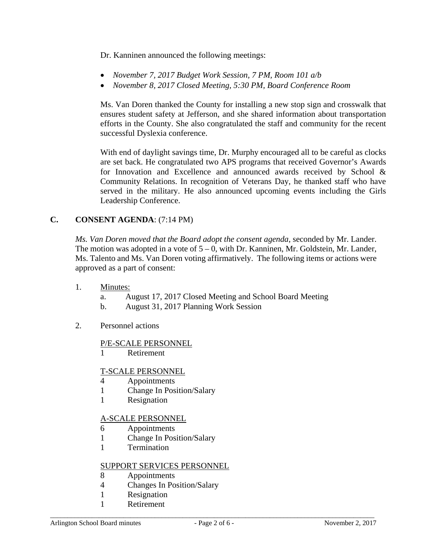Dr. Kanninen announced the following meetings:

- *November 7, 2017 Budget Work Session, 7 PM, Room 101 a/b*
- *November 8, 2017 Closed Meeting, 5:30 PM, Board Conference Room*

Ms. Van Doren thanked the County for installing a new stop sign and crosswalk that ensures student safety at Jefferson, and she shared information about transportation efforts in the County. She also congratulated the staff and community for the recent successful Dyslexia conference.

With end of daylight savings time, Dr. Murphy encouraged all to be careful as clocks are set back. He congratulated two APS programs that received Governor's Awards for Innovation and Excellence and announced awards received by School & Community Relations. In recognition of Veterans Day, he thanked staff who have served in the military. He also announced upcoming events including the Girls Leadership Conference.

# **C. CONSENT AGENDA**: (7:14 PM)

*Ms. Van Doren moved that the Board adopt the consent agenda*, seconded by Mr. Lander. The motion was adopted in a vote of  $5 - 0$ , with Dr. Kanninen, Mr. Goldstein, Mr. Lander, Ms. Talento and Ms. Van Doren voting affirmatively. The following items or actions were approved as a part of consent:

- 1. Minutes:
	- a. August 17, 2017 Closed Meeting and School Board Meeting
	- b. August 31, 2017 Planning Work Session
- 2. Personnel actions

## P/E-SCALE PERSONNEL

1 Retirement

## T-SCALE PERSONNEL

- 4 Appointments
- 1 Change In Position/Salary
- 1 Resignation

# A-SCALE PERSONNEL

- 6 Appointments
- 1 Change In Position/Salary
- 1 Termination

## SUPPORT SERVICES PERSONNEL

- 8 Appointments
- 4 Changes In Position/Salary
- 1 Resignation
- 1 Retirement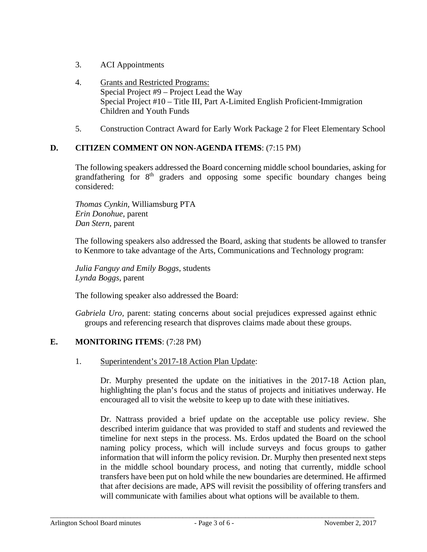- 3. ACI Appointments
- 4. Grants and Restricted Programs: Special Project #9 – Project Lead the Way Special Project #10 – Title III, Part A-Limited English Proficient-Immigration Children and Youth Funds
- 5. Construction Contract Award for Early Work Package 2 for Fleet Elementary School

## **D. CITIZEN COMMENT ON NON-AGENDA ITEMS**: (7:15 PM)

The following speakers addressed the Board concerning middle school boundaries, asking for grandfathering for  $8<sup>th</sup>$  graders and opposing some specific boundary changes being considered:

*Thomas Cynkin,* Williamsburg PTA *Erin Donohue,* parent *Dan Stern,* parent

The following speakers also addressed the Board, asking that students be allowed to transfer to Kenmore to take advantage of the Arts, Communications and Technology program:

*Julia Fanguy and Emily Boggs*, students *Lynda Boggs,* parent

The following speaker also addressed the Board:

*Gabriela Uro,* parent: stating concerns about social prejudices expressed against ethnic groups and referencing research that disproves claims made about these groups.

## **E. MONITORING ITEMS**: (7:28 PM)

1. Superintendent's 2017-18 Action Plan Update:

Dr. Murphy presented the update on the initiatives in the 2017-18 Action plan, highlighting the plan's focus and the status of projects and initiatives underway. He encouraged all to visit the website to keep up to date with these initiatives.

Dr. Nattrass provided a brief update on the acceptable use policy review. She described interim guidance that was provided to staff and students and reviewed the timeline for next steps in the process. Ms. Erdos updated the Board on the school naming policy process, which will include surveys and focus groups to gather information that will inform the policy revision. Dr. Murphy then presented next steps in the middle school boundary process, and noting that currently, middle school transfers have been put on hold while the new boundaries are determined. He affirmed that after decisions are made, APS will revisit the possibility of offering transfers and will communicate with families about what options will be available to them.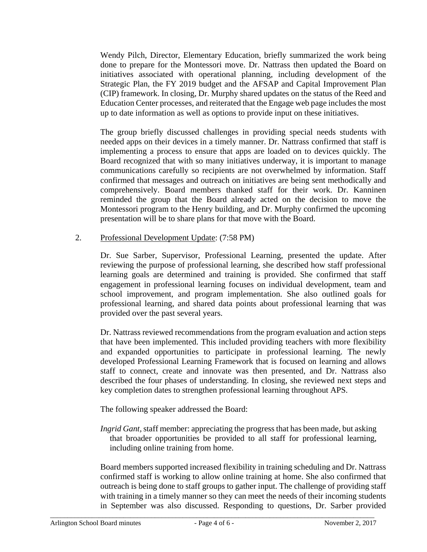Wendy Pilch, Director, Elementary Education, briefly summarized the work being done to prepare for the Montessori move. Dr. Nattrass then updated the Board on initiatives associated with operational planning, including development of the Strategic Plan, the FY 2019 budget and the AFSAP and Capital Improvement Plan (CIP) framework. In closing, Dr. Murphy shared updates on the status of the Reed and Education Center processes, and reiterated that the Engage web page includes the most up to date information as well as options to provide input on these initiatives.

The group briefly discussed challenges in providing special needs students with needed apps on their devices in a timely manner. Dr. Nattrass confirmed that staff is implementing a process to ensure that apps are loaded on to devices quickly. The Board recognized that with so many initiatives underway, it is important to manage communications carefully so recipients are not overwhelmed by information. Staff confirmed that messages and outreach on initiatives are being sent methodically and comprehensively. Board members thanked staff for their work. Dr. Kanninen reminded the group that the Board already acted on the decision to move the Montessori program to the Henry building, and Dr. Murphy confirmed the upcoming presentation will be to share plans for that move with the Board.

# 2. Professional Development Update: (7:58 PM)

Dr. Sue Sarber, Supervisor, Professional Learning, presented the update. After reviewing the purpose of professional learning, she described how staff professional learning goals are determined and training is provided. She confirmed that staff engagement in professional learning focuses on individual development, team and school improvement, and program implementation. She also outlined goals for professional learning, and shared data points about professional learning that was provided over the past several years.

Dr. Nattrass reviewed recommendations from the program evaluation and action steps that have been implemented. This included providing teachers with more flexibility and expanded opportunities to participate in professional learning. The newly developed Professional Learning Framework that is focused on learning and allows staff to connect, create and innovate was then presented, and Dr. Nattrass also described the four phases of understanding. In closing, she reviewed next steps and key completion dates to strengthen professional learning throughout APS.

The following speaker addressed the Board:

*Ingrid Gant,* staff member: appreciating the progress that has been made, but asking that broader opportunities be provided to all staff for professional learning, including online training from home.

Board members supported increased flexibility in training scheduling and Dr. Nattrass confirmed staff is working to allow online training at home. She also confirmed that outreach is being done to staff groups to gather input. The challenge of providing staff with training in a timely manner so they can meet the needs of their incoming students in September was also discussed. Responding to questions, Dr. Sarber provided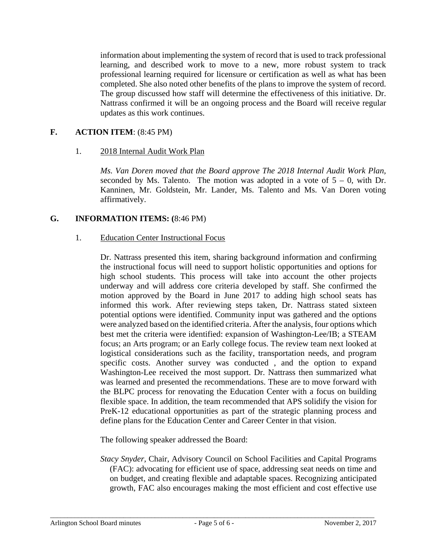information about implementing the system of record that is used to track professional learning, and described work to move to a new, more robust system to track professional learning required for licensure or certification as well as what has been completed. She also noted other benefits of the plans to improve the system of record. The group discussed how staff will determine the effectiveness of this initiative. Dr. Nattrass confirmed it will be an ongoing process and the Board will receive regular updates as this work continues.

# **F. ACTION ITEM**: (8:45 PM)

## 1. 2018 Internal Audit Work Plan

*Ms. Van Doren moved that the Board approve The 2018 Internal Audit Work Plan,*  seconded by Ms. Talento. The motion was adopted in a vote of  $5 - 0$ , with Dr. Kanninen, Mr. Goldstein, Mr. Lander, Ms. Talento and Ms. Van Doren voting affirmatively.

## **G. INFORMATION ITEMS: (**8:46 PM)

#### 1. Education Center Instructional Focus

Dr. Nattrass presented this item, sharing background information and confirming the instructional focus will need to support holistic opportunities and options for high school students. This process will take into account the other projects underway and will address core criteria developed by staff. She confirmed the motion approved by the Board in June 2017 to adding high school seats has informed this work. After reviewing steps taken, Dr. Nattrass stated sixteen potential options were identified. Community input was gathered and the options were analyzed based on the identified criteria. After the analysis, four options which best met the criteria were identified: expansion of Washington-Lee/IB; a STEAM focus; an Arts program; or an Early college focus. The review team next looked at logistical considerations such as the facility, transportation needs, and program specific costs. Another survey was conducted , and the option to expand Washington-Lee received the most support. Dr. Nattrass then summarized what was learned and presented the recommendations. These are to move forward with the BLPC process for renovating the Education Center with a focus on building flexible space. In addition, the team recommended that APS solidify the vision for PreK-12 educational opportunities as part of the strategic planning process and define plans for the Education Center and Career Center in that vision.

The following speaker addressed the Board:

*Stacy Snyder,* Chair, Advisory Council on School Facilities and Capital Programs (FAC): advocating for efficient use of space, addressing seat needs on time and on budget, and creating flexible and adaptable spaces. Recognizing anticipated growth, FAC also encourages making the most efficient and cost effective use